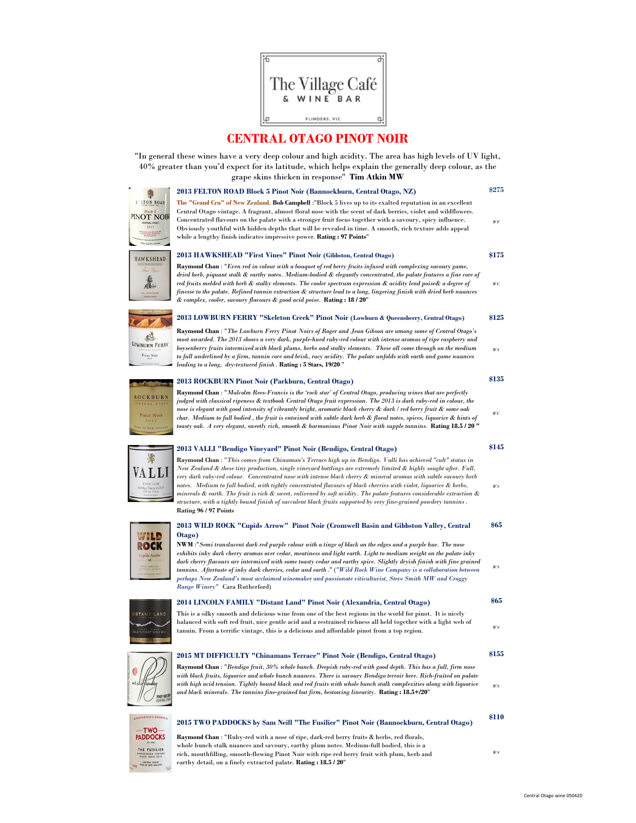

## CENTRAL OTAGO PINOT NOIR

"In general these wines have a very deep colour and high acidity. The area has high levels of UV light, 40% greater than you'd expect for its latitude, which helps explain the generally deep colour, as the

|                                                                  | 40% greater than you d'expect for its fatitude, which helps explain the generally deep colour, as the<br>grape skins thicken in response" Tim Atkin MW                                                                                                                                                                                                                                                                                                                                                                                                                                                                                                                                                                                         |                |
|------------------------------------------------------------------|------------------------------------------------------------------------------------------------------------------------------------------------------------------------------------------------------------------------------------------------------------------------------------------------------------------------------------------------------------------------------------------------------------------------------------------------------------------------------------------------------------------------------------------------------------------------------------------------------------------------------------------------------------------------------------------------------------------------------------------------|----------------|
|                                                                  | 2013 FELTON ROAD Block 5 Pinot Noir (Bannockburn, Central Otago, NZ)                                                                                                                                                                                                                                                                                                                                                                                                                                                                                                                                                                                                                                                                           | \$275          |
| <b>FELTON ROAD</b><br>Block 5<br>PINOT NOIR                      | The "Grand Cru" of New Zealand. Bob Campbell : "Block 5 lives up to its exalted reputation in an excellent<br>Central Otago vintage. A fragrant, almost floral nose with the scent of dark berries, violet and wildflowers.                                                                                                                                                                                                                                                                                                                                                                                                                                                                                                                    |                |
| CENTRAL OTAGO<br>2013                                            | Concentrated flavours on the palate with a stronger fruit focus together with a savoury, spicy influence.<br>Obviously youthful with hidden depths that will be revealed in time. A smooth, rich texture adds appeal<br>while a lengthy finish indicates impressive power. Rating: 97 Points"                                                                                                                                                                                                                                                                                                                                                                                                                                                  | WF             |
| HAWKSHEAD                                                        | 2013 HAWKSHEAD "First Vines" Pinot Noir (Gibbston, Central Otago)                                                                                                                                                                                                                                                                                                                                                                                                                                                                                                                                                                                                                                                                              | \$175          |
| First Vines<br>蠢<br>2012 PINOT NOIS                              | Raymond Chan: "Even red in colour with a bouquet of red berry fruits infused with complexing savoury game,<br>dried herb, piquant stalk & earthy notes. Medium-bodied & elegantly concentrated, the palate features a fine core of<br>red fruits melded with herb & stalky elements. The cooler spectrum expression & acidity lend poise& a degree of<br>finesse to the palate. Refined tannin extraction & structure lead to a long, lingering finish with dried herb nuances<br>& complex, cooler, savoury flavours & good acid poise. Rating: 18 / 20"                                                                                                                                                                                      | $W\mathcal{C}$ |
|                                                                  | 2013 LOWBURN FERRY "Skeleton Creek" Pinot Noir (Lowburn & Queensberry, Central Otago)                                                                                                                                                                                                                                                                                                                                                                                                                                                                                                                                                                                                                                                          | \$125          |
| LOWBURN FERRY<br>Pinot Noir                                      | Raymond Chan : "The Lowburn Ferry Pinot Noirs of Roger and Jean Gibson are among some of Central Otago's<br>most awarded. The 2013 shows a very dark, purple-hued ruby-red colour with intense aromas of ripe raspberry and<br>boysenberry fruits intermixed with black plums, herbs and stalky elements. These all come through on the medium<br>to full underlined by a firm, tannin core and brisk, racy acidity. The palate unfolds with earth and game nuances<br>leading to a long, dry-textured finish. Rating: 5 Stars, 19/20"                                                                                                                                                                                                         | $W\!S$         |
|                                                                  | 2013 ROCKBURN Pinot Noir (Parkburn, Central Otago)                                                                                                                                                                                                                                                                                                                                                                                                                                                                                                                                                                                                                                                                                             | \$135          |
| ROCKBURN<br>ENTRAL OTAGO<br>Pinot Noir<br>2013                   | Raymond Chan: "Malcolm Rees-Francis is the 'rock star' of Central Otago, producing wines that are perfectly<br>judged with classical ripeness & textbook Central Otago fruit expression. The 2013 is dark ruby-red in colour, the<br>nose is elegant with good intensity of vibrantly bright, aromatic black cherry & dark / red berry fruit & some oak<br>char. Medium to full bodied, the fruit is entwined with subtle dark herb & floral notes, spices, liquorice & hints of                                                                                                                                                                                                                                                               | WС             |
| THE OF NEW ZEAL                                                  | toasty oak. A very elegant, sweetly rich, smooth & harmonious Pinot Noir with supple tannins. <b>Rating 18.5 / 20 ''</b>                                                                                                                                                                                                                                                                                                                                                                                                                                                                                                                                                                                                                       |                |
|                                                                  | 2013 VALLI "Bendigo Vineyard" Pinot Noir (Bendigo, Central Otago)                                                                                                                                                                                                                                                                                                                                                                                                                                                                                                                                                                                                                                                                              | \$145          |
| *<br>VA L L<br>FINOT NOIR<br>kndigo Vineyard 2013                | Raymond Chan: "This comes from Chinaman's Terrace high up in Bendigo. Valli has achieved "cult" status in<br>New Zealand & these tiny production, single vineyard bottlings are extremely limited & highly sought after. Full,<br>very dark ruby-red colour. Concentrated nose with intense black cherry & mineral aromas with subtle savoury herb<br>notes. Medium to full bodied, with tightly concentrated flavours of black cherries with violet, liquorice & herbs,<br>minerals & earth. The fruit is rich & sweet, enlivened by soft acidity. The palate features considerable extraction &<br>structure, with a tightly bound finish of succulent black fruits supported by very fine-grained powdery tannins.<br>Rating 96 / 97 Points | $W\!S$         |
|                                                                  | 2013 WILD ROCK "Cupids Arrow" Pinot Noir (Cromwell Basin and Gibbston Valley, Central                                                                                                                                                                                                                                                                                                                                                                                                                                                                                                                                                                                                                                                          | \$65           |
| WILD<br>ROCK<br>Cupids Arrow<br>FINOT NORK 2013<br>EW ZEALAND WI | Otago)<br>NWM :"Semi translucent dark red purple colour with a tinge of black on the edges and a purple hue. The nose<br>exhibits inky dark cherry aromas over cedar, meatiness and light earth. Light to medium weight on the palate inky<br>dark cherry flavours are intermixed with some toasty cedar and earthy spice. Slightly dryish finish with fine grained<br>tannins. Aftertaste of inky dark cherries, cedar and earth ." ("Wild Rock Wine Company is a collaboration between<br>perhaps New Zealand's most acclaimed winemaker and passionate viticulturist, Steve Smith MW and Craggy<br>Range Winery" Cara Rutherford)                                                                                                           | WS             |
|                                                                  | 2014 LINCOLN FAMILY "Distant Land" Pinot Noir (Alexandria, Central Otago)                                                                                                                                                                                                                                                                                                                                                                                                                                                                                                                                                                                                                                                                      | \$65           |
| DISTANT LAND<br>EW ZEA<br>WIN                                    | This is a silky smooth and delicious wine from one of the best regions in the world for pinot. It is nicely<br>balanced with soft red fruit, nice gentle acid and a restrained richness all held together with a light web of<br>tannin. From a terrific vintage, this is a delicious and affordable pinot from a top region.                                                                                                                                                                                                                                                                                                                                                                                                                  | WS             |
|                                                                  | 2015 MT DIFFICULTY "Chinamans Terrace" Pinot Noir (Bendigo, Central Otago)                                                                                                                                                                                                                                                                                                                                                                                                                                                                                                                                                                                                                                                                     | \$155          |
| 0<br>icenti<br>PINOT NULSE<br><b>CENTRAL ITH</b>                 | Raymond Chan: "Bendigo fruit, 30% whole bunch. Deepish ruby-red with good depth. This has a full, firm nose<br>with black fruits, liquorice and whole bunch nuances. There is savoury Bendigo terroir here. Rich-fruited on palate<br>with high acid tension. Tightly bound black and red fruits with whole bunch stalk complexities along with liquorice<br>and black minerals. The tannins fine-grained but firm, bestowing linearity. Rating: 18.5+/20"                                                                                                                                                                                                                                                                                     | WS.            |
| <b>APROPRIETOR'S RESERVE &amp;</b>                               |                                                                                                                                                                                                                                                                                                                                                                                                                                                                                                                                                                                                                                                                                                                                                | \$110          |



## Raymond Chan : "Ruby-red with a nose of ripe, dark-red berry fruits & herbs, red florals, 2015 TWO PADDOCKS by Sam Neill "The Fusilier" Pinot Noir (Bannockburn, Central Otago)

whole bunch stalk nuances and savoury, earthy plum notes. Medium-full bodied, this is a rich, mouthfilling, smooth-flowing Pinot Noir with ripe red berry fruit with plum, herb and earthy detail, on a finely extracted palate. Rating : 18.5 / 20"

WS